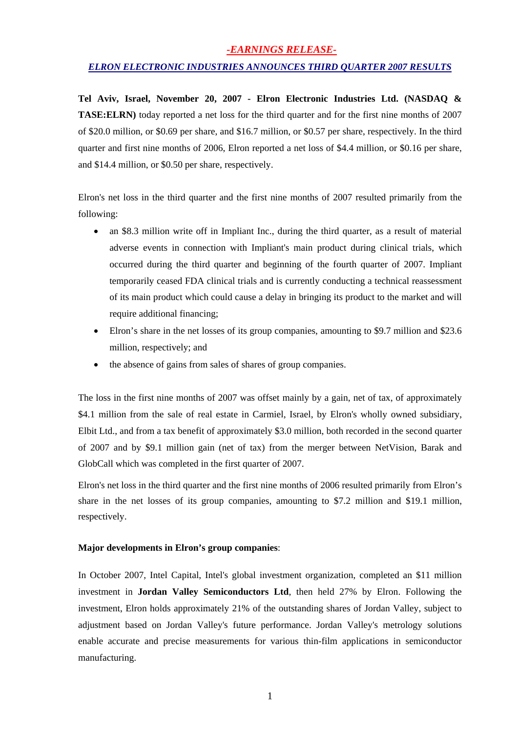### *-EARNINGS RELEASE-*

### *ELRON ELECTRONIC INDUSTRIES ANNOUNCES THIRD QUARTER 2007 RESULTS*

**Tel Aviv, Israel, November 20, 2007 - Elron Electronic Industries Ltd. (NASDAQ & TASE:ELRN)** today reported a net loss for the third quarter and for the first nine months of 2007 of \$20.0 million, or \$0.69 per share, and \$16.7 million, or \$0.57 per share, respectively. In the third quarter and first nine months of 2006, Elron reported a net loss of \$4.4 million, or \$0.16 per share, and \$14.4 million, or \$0.50 per share, respectively.

Elron's net loss in the third quarter and the first nine months of 2007 resulted primarily from the following:

- an \$8.3 million write off in Impliant Inc., during the third quarter, as a result of material adverse events in connection with Impliant's main product during clinical trials, which occurred during the third quarter and beginning of the fourth quarter of 2007. Impliant temporarily ceased FDA clinical trials and is currently conducting a technical reassessment of its main product which could cause a delay in bringing its product to the market and will require additional financing;
- Elron's share in the net losses of its group companies, amounting to \$9.7 million and \$23.6 million, respectively; and
- the absence of gains from sales of shares of group companies.

The loss in the first nine months of 2007 was offset mainly by a gain, net of tax, of approximately \$4.1 million from the sale of real estate in Carmiel, Israel, by Elron's wholly owned subsidiary, Elbit Ltd., and from a tax benefit of approximately \$3.0 million, both recorded in the second quarter of 2007 and by \$9.1 million gain (net of tax) from the merger between NetVision, Barak and GlobCall which was completed in the first quarter of 2007.

Elron's net loss in the third quarter and the first nine months of 2006 resulted primarily from Elron's share in the net losses of its group companies, amounting to \$7.2 million and \$19.1 million, respectively.

### **Major developments in Elron's group companies**:

In October 2007, Intel Capital, Intel's global investment organization, completed an \$11 million investment in **Jordan Valley Semiconductors Ltd**, then held 27% by Elron. Following the investment, Elron holds approximately 21% of the outstanding shares of Jordan Valley, subject to adjustment based on Jordan Valley's future performance. Jordan Valley's metrology solutions enable accurate and precise measurements for various thin-film applications in semiconductor manufacturing.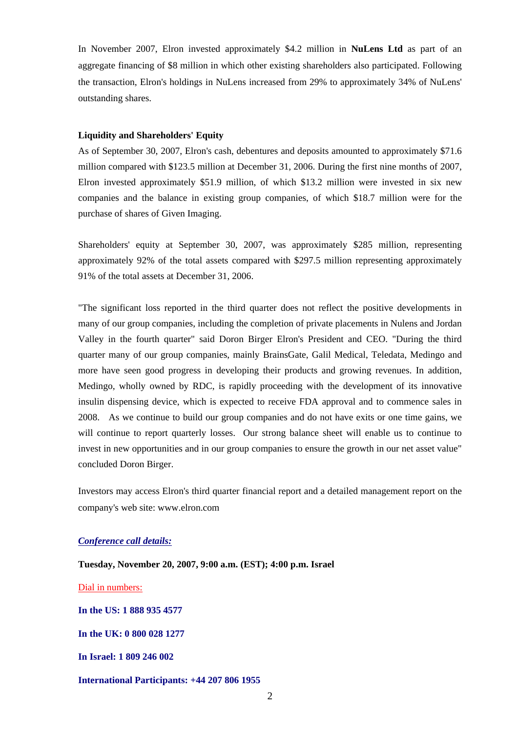In November 2007, Elron invested approximately \$4.2 million in **NuLens Ltd** as part of an aggregate financing of \$8 million in which other existing shareholders also participated. Following the transaction, Elron's holdings in NuLens increased from 29% to approximately 34% of NuLens' outstanding shares.

#### **Liquidity and Shareholders' Equity**

As of September 30, 2007, Elron's cash, debentures and deposits amounted to approximately \$71.6 million compared with \$123.5 million at December 31, 2006. During the first nine months of 2007, Elron invested approximately \$51.9 million, of which \$13.2 million were invested in six new companies and the balance in existing group companies, of which \$18.7 million were for the purchase of shares of Given Imaging.

Shareholders' equity at September 30, 2007, was approximately \$285 million, representing approximately 92% of the total assets compared with \$297.5 million representing approximately 91% of the total assets at December 31, 2006.

"The significant loss reported in the third quarter does not reflect the positive developments in many of our group companies, including the completion of private placements in Nulens and Jordan Valley in the fourth quarter" said Doron Birger Elron's President and CEO. "During the third quarter many of our group companies, mainly BrainsGate, Galil Medical, Teledata, Medingo and more have seen good progress in developing their products and growing revenues. In addition, Medingo, wholly owned by RDC, is rapidly proceeding with the development of its innovative insulin dispensing device, which is expected to receive FDA approval and to commence sales in 2008. As we continue to build our group companies and do not have exits or one time gains, we will continue to report quarterly losses. Our strong balance sheet will enable us to continue to invest in new opportunities and in our group companies to ensure the growth in our net asset value" concluded Doron Birger.

Investors may access Elron's third quarter financial report and a detailed management report on the company's web site: www.elron.com

#### *Conference call details:*

**Tuesday, November 20, 2007, 9:00 a.m. (EST); 4:00 p.m. Israel** 

Dial in numbers:

**In the US: 1 888 935 4577** 

**In the UK: 0 800 028 1277** 

**In Israel: 1 809 246 002**

#### **International Participants: +44 207 806 1955**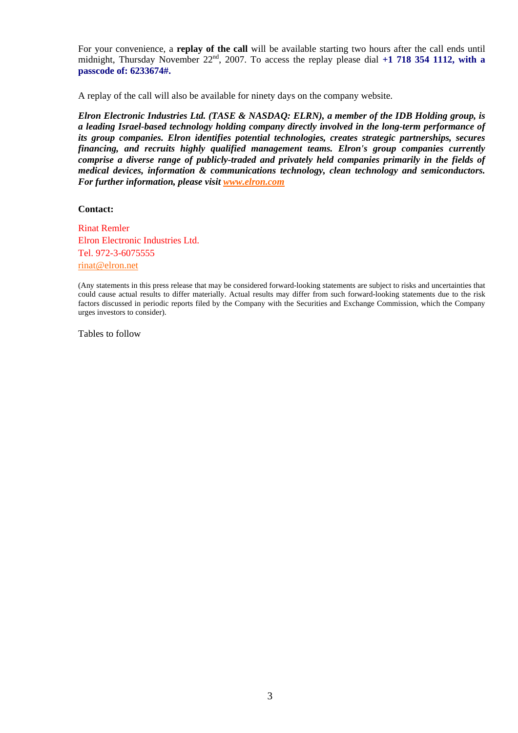For your convenience, a **replay of the call** will be available starting two hours after the call ends until midnight, Thursday November 22<sup>nd</sup>, 2007. To access the replay please dial +1 718 354 1112, with a **passcode of: 6233674#.**

A replay of the call will also be available for ninety days on the company website.

*Elron Electronic Industries Ltd. (TASE & NASDAQ: ELRN), a member of the IDB Holding group, is a leading Israel-based technology holding company directly involved in the long-term performance of its group companies. Elron identifies potential technologies, creates strategic partnerships, secures financing, and recruits highly qualified management teams. Elron's group companies currently comprise a diverse range of publicly-traded and privately held companies primarily in the fields of medical devices, information & communications technology, clean technology and semiconductors. For further information, please visit www.elron.com*

**Contact:** 

Rinat Remler Elron Electronic Industries Ltd. Tel. 972-3-6075555 rinat@elron.net

(Any statements in this press release that may be considered forward-looking statements are subject to risks and uncertainties that could cause actual results to differ materially. Actual results may differ from such forward-looking statements due to the risk factors discussed in periodic reports filed by the Company with the Securities and Exchange Commission, which the Company urges investors to consider).

Tables to follow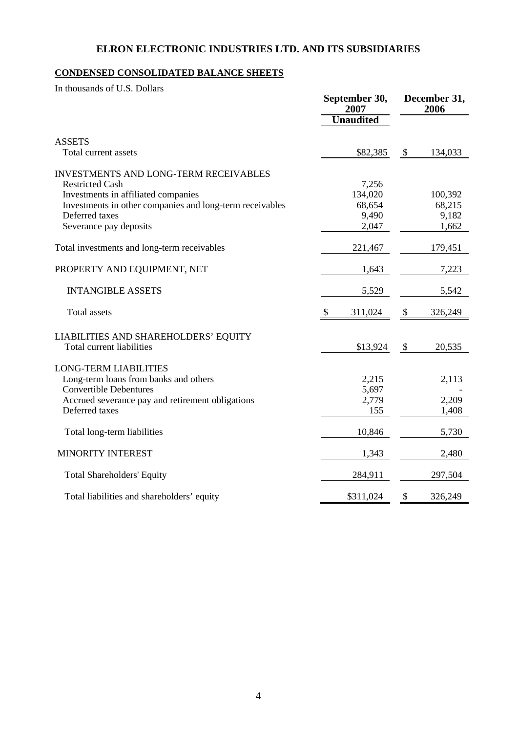# **ELRON ELECTRONIC INDUSTRIES LTD. AND ITS SUBSIDIARIES**

## **CONDENSED CONSOLIDATED BALANCE SHEETS**

In thousands of U.S. Dollars

|                                                          | September 30,<br>2007 |                           | December 31,<br>2006 |  |
|----------------------------------------------------------|-----------------------|---------------------------|----------------------|--|
|                                                          | <b>Unaudited</b>      |                           |                      |  |
| <b>ASSETS</b>                                            |                       |                           |                      |  |
| Total current assets                                     | \$82,385              | $\boldsymbol{\mathsf{S}}$ | 134,033              |  |
| <b>INVESTMENTS AND LONG-TERM RECEIVABLES</b>             |                       |                           |                      |  |
| <b>Restricted Cash</b>                                   | 7,256                 |                           |                      |  |
| Investments in affiliated companies                      | 134,020               |                           | 100,392              |  |
| Investments in other companies and long-term receivables | 68,654                |                           | 68,215               |  |
| Deferred taxes                                           | 9,490                 |                           | 9,182                |  |
| Severance pay deposits                                   | 2,047                 |                           | 1,662                |  |
| Total investments and long-term receivables              | 221,467               |                           | 179,451              |  |
| PROPERTY AND EQUIPMENT, NET                              | 1,643                 |                           | 7,223                |  |
| <b>INTANGIBLE ASSETS</b>                                 | 5,529                 |                           | 5,542                |  |
| <b>Total</b> assets                                      | 311,024<br>\$         | \$                        | 326,249              |  |
| LIABILITIES AND SHAREHOLDERS' EQUITY                     |                       |                           |                      |  |
| <b>Total current liabilities</b>                         | \$13,924              | \$                        | 20,535               |  |
| <b>LONG-TERM LIABILITIES</b>                             |                       |                           |                      |  |
| Long-term loans from banks and others                    | 2,215                 |                           | 2,113                |  |
| <b>Convertible Debentures</b>                            | 5,697                 |                           |                      |  |
| Accrued severance pay and retirement obligations         | 2,779                 |                           | 2,209                |  |
| Deferred taxes                                           | 155                   |                           | 1,408                |  |
| Total long-term liabilities                              | 10,846                |                           | 5,730                |  |
| MINORITY INTEREST                                        | 1,343                 |                           | 2,480                |  |
| <b>Total Shareholders' Equity</b>                        | 284,911               |                           | 297,504              |  |
| Total liabilities and shareholders' equity               | \$311,024             | \$                        | 326,249              |  |